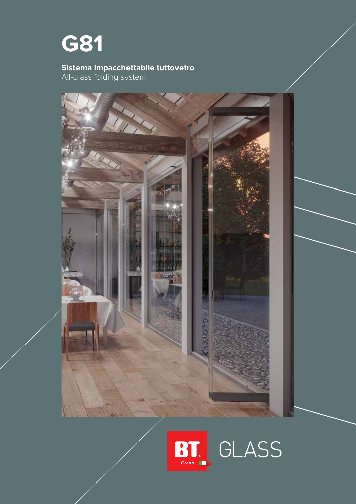

## **Sistema impacchettabile tuttovetro** All-glass folding system



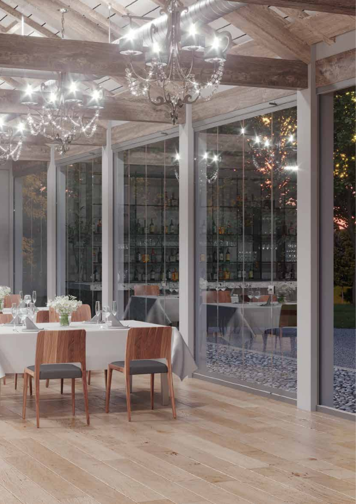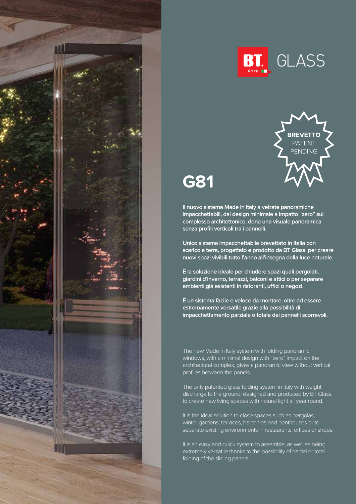

![](_page_2_Picture_1.jpeg)

![](_page_2_Picture_2.jpeg)

## **G81**

**Il nuovo sistema Made in Italy a vetrate panoramiche impacchettabili, dal design minimale a impatto "zero" sul complesso architettonico, dona una visuale panoramica senza profili verticali tra i pannelli.**

**Unico sistema impacchettabile brevettato in Italia con scarico a terra, progettato e prodotto da BT Glass, per creare nuovi spazi vivibili tutto l'anno all'insegna della luce naturale.** 

**È la soluzione ideale per chiudere spazi quali pergolati, giardini d'inverno, terrazzi, balconi e attici o per separare ambienti già esistenti in ristoranti, uffici o negozi.**

**È un sistema facile e veloce da montare, oltre ad essere estremamente versatile grazie alla possibilità di impacchettamento parziale o totale dei pannelli scorrevoli.**

The new Made in Italy system with folding panoramic windows, with a minimal design with "zero" impact on the architectural complex, gives a panoramic view without vertical profiles between the panels.

The only patented glass folding system in Italy with weight discharge to the ground, designed and produced by BT Glass, to create new living spaces with natural light all year round.

It is the ideal solution to close spaces such as pergolas, winter gardens, terraces, balconies and penthouses or to separate existing environments in restaurants, offices or shops.

It is an easy and quick system to assemble, as well as being extremely versatile thanks to the possibility of partial or total folding of the sliding panels.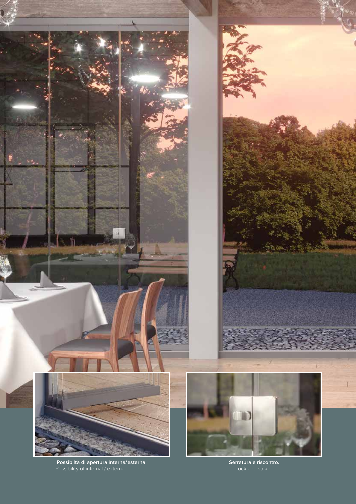![](_page_3_Picture_0.jpeg)

**Possibiltà di apertura interna/esterna.** Possibility of internal / external opening. **Serratura e riscontro.** Lock and striker.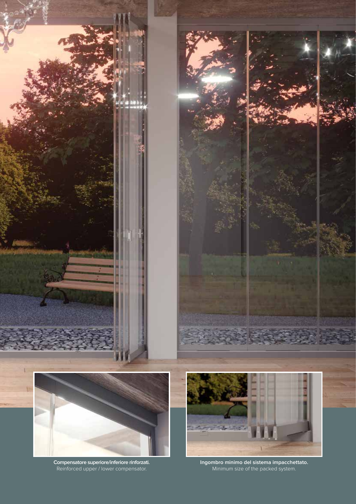![](_page_4_Picture_0.jpeg)

Reinforced upper / lower compensator.

**Ingombro minimo del sistema impacchettato.** Minimum size of the packed system.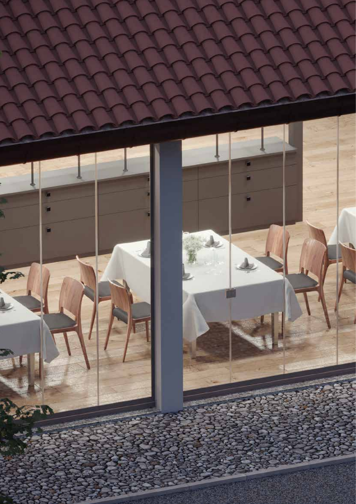![](_page_5_Picture_0.jpeg)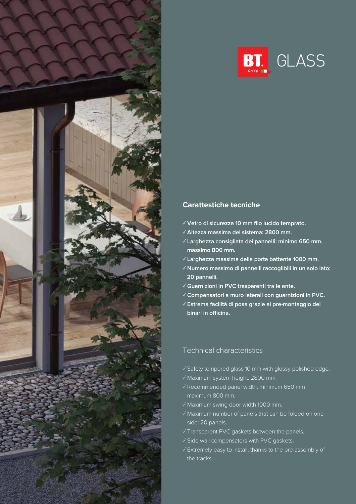![](_page_6_Picture_0.jpeg)

![](_page_6_Picture_1.jpeg)

## **Carattestiche tecniche**

- **✓ Vetro di sicurezza 10 mm filo lucido temprato.**
- **✓ Altezza massima del sistema: 2800 mm.**
- **✓ Larghezza consigliata dei pannelli: minimo 650 mm. massimo 800 mm.**
- **✓ Larghezza massima della porta battente 1000 mm.**
- **✓ Numero massimo di pannelli raccoglibili in un solo lato: 20 pannelli.**
- **✓ Guarnizioni in PVC trasparenti tra le ante.**
- **✓ Compensatori a muro laterali con guarnizioni in PVC.**
- **✓ Estrema facilità di posa grazie al pre-montaggio dei binari in officina.**

## Technical characteristics

- ✓ Safety tempered glass 10 mm with glossy polished edge.
- ✓ Maximum system height: 2800 mm.
- $\sqrt{2}$  Recommended panel width: minimum 650 mm maximum 800 mm.
- ✓ Maximum swing door width 1000 mm.
- ✓ Maximum number of panels that can be folded on one side: 20 panels.
- ✓ Transparent PVC gaskets between the panels.
- ✓ Side wall compensators with PVC gaskets.
- ✓ Extremely easy to install, thanks to the pre-assembly of the tracks.